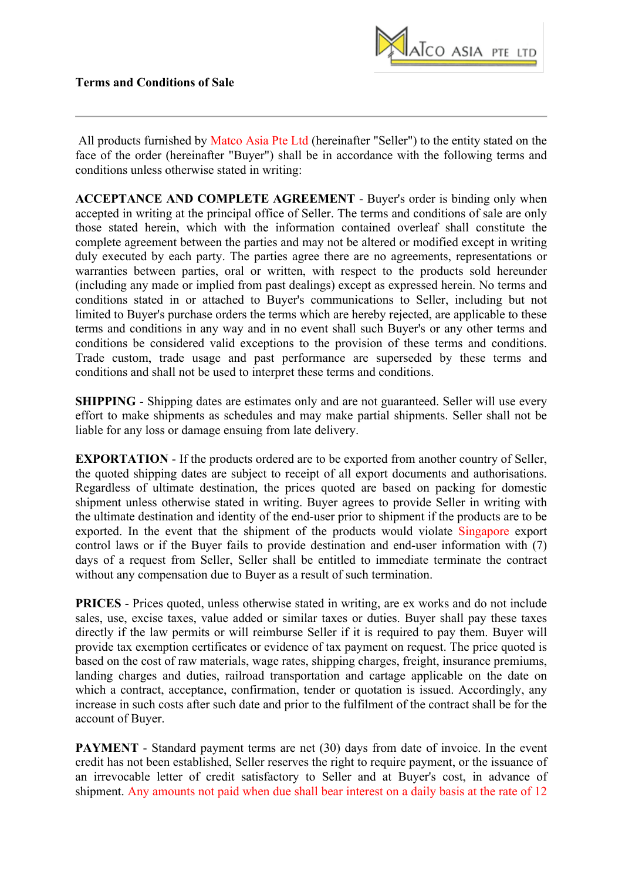

All products furnished by Matco Asia Pte Ltd (hereinafter "Seller") to the entity stated on the face of the order (hereinafter "Buyer") shall be in accordance with the following terms and conditions unless otherwise stated in writing:

**ACCEPTANCE AND COMPLETE AGREEMENT** - Buyer's order is binding only when accepted in writing at the principal office of Seller. The terms and conditions of sale are only those stated herein, which with the information contained overleaf shall constitute the complete agreement between the parties and may not be altered or modified except in writing duly executed by each party. The parties agree there are no agreements, representations or warranties between parties, oral or written, with respect to the products sold hereunder (including any made or implied from past dealings) except as expressed herein. No terms and conditions stated in or attached to Buyer's communications to Seller, including but not limited to Buyer's purchase orders the terms which are hereby rejected, are applicable to these terms and conditions in any way and in no event shall such Buyer's or any other terms and conditions be considered valid exceptions to the provision of these terms and conditions. Trade custom, trade usage and past performance are superseded by these terms and conditions and shall not be used to interpret these terms and conditions.

**SHIPPING** - Shipping dates are estimates only and are not guaranteed. Seller will use every effort to make shipments as schedules and may make partial shipments. Seller shall not be liable for any loss or damage ensuing from late delivery.

**EXPORTATION** - If the products ordered are to be exported from another country of Seller, the quoted shipping dates are subject to receipt of all export documents and authorisations. Regardless of ultimate destination, the prices quoted are based on packing for domestic shipment unless otherwise stated in writing. Buyer agrees to provide Seller in writing with the ultimate destination and identity of the end-user prior to shipment if the products are to be exported. In the event that the shipment of the products would violate Singapore export control laws or if the Buyer fails to provide destination and end-user information with (7) days of a request from Seller, Seller shall be entitled to immediate terminate the contract without any compensation due to Buyer as a result of such termination.

**PRICES** - Prices quoted, unless otherwise stated in writing, are ex works and do not include sales, use, excise taxes, value added or similar taxes or duties. Buyer shall pay these taxes directly if the law permits or will reimburse Seller if it is required to pay them. Buyer will provide tax exemption certificates or evidence of tax payment on request. The price quoted is based on the cost of raw materials, wage rates, shipping charges, freight, insurance premiums, landing charges and duties, railroad transportation and cartage applicable on the date on which a contract, acceptance, confirmation, tender or quotation is issued. Accordingly, any increase in such costs after such date and prior to the fulfilment of the contract shall be for the account of Buyer.

**PAYMENT** - Standard payment terms are net (30) days from date of invoice. In the event credit has not been established, Seller reserves the right to require payment, or the issuance of an irrevocable letter of credit satisfactory to Seller and at Buyer's cost, in advance of shipment. Any amounts not paid when due shall bear interest on a daily basis at the rate of 12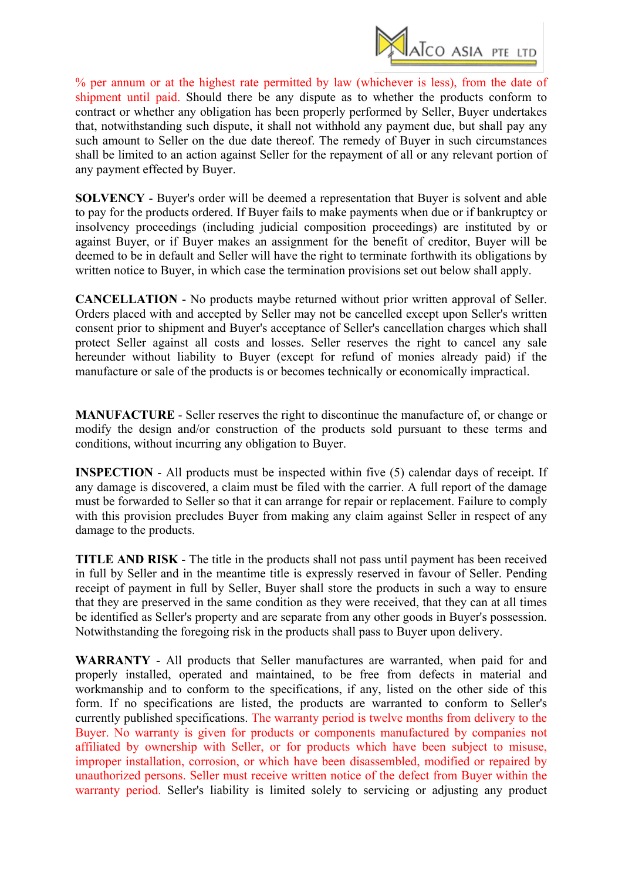

% per annum or at the highest rate permitted by law (whichever is less), from the date of shipment until paid. Should there be any dispute as to whether the products conform to contract or whether any obligation has been properly performed by Seller, Buyer undertakes that, notwithstanding such dispute, it shall not withhold any payment due, but shall pay any such amount to Seller on the due date thereof. The remedy of Buyer in such circumstances shall be limited to an action against Seller for the repayment of all or any relevant portion of any payment effected by Buyer.

**SOLVENCY** - Buyer's order will be deemed a representation that Buyer is solvent and able to pay for the products ordered. If Buyer fails to make payments when due or if bankruptcy or insolvency proceedings (including judicial composition proceedings) are instituted by or against Buyer, or if Buyer makes an assignment for the benefit of creditor, Buyer will be deemed to be in default and Seller will have the right to terminate forthwith its obligations by written notice to Buyer, in which case the termination provisions set out below shall apply.

**CANCELLATION** - No products maybe returned without prior written approval of Seller. Orders placed with and accepted by Seller may not be cancelled except upon Seller's written consent prior to shipment and Buyer's acceptance of Seller's cancellation charges which shall protect Seller against all costs and losses. Seller reserves the right to cancel any sale hereunder without liability to Buyer (except for refund of monies already paid) if the manufacture or sale of the products is or becomes technically or economically impractical.

**MANUFACTURE** - Seller reserves the right to discontinue the manufacture of, or change or modify the design and/or construction of the products sold pursuant to these terms and conditions, without incurring any obligation to Buyer.

**INSPECTION** - All products must be inspected within five (5) calendar days of receipt. If any damage is discovered, a claim must be filed with the carrier. A full report of the damage must be forwarded to Seller so that it can arrange for repair or replacement. Failure to comply with this provision precludes Buyer from making any claim against Seller in respect of any damage to the products.

**TITLE AND RISK** - The title in the products shall not pass until payment has been received in full by Seller and in the meantime title is expressly reserved in favour of Seller. Pending receipt of payment in full by Seller, Buyer shall store the products in such a way to ensure that they are preserved in the same condition as they were received, that they can at all times be identified as Seller's property and are separate from any other goods in Buyer's possession. Notwithstanding the foregoing risk in the products shall pass to Buyer upon delivery.

**WARRANTY** - All products that Seller manufactures are warranted, when paid for and properly installed, operated and maintained, to be free from defects in material and workmanship and to conform to the specifications, if any, listed on the other side of this form. If no specifications are listed, the products are warranted to conform to Seller's currently published specifications. The warranty period is twelve months from delivery to the Buyer. No warranty is given for products or components manufactured by companies not affiliated by ownership with Seller, or for products which have been subject to misuse, improper installation, corrosion, or which have been disassembled, modified or repaired by unauthorized persons. Seller must receive written notice of the defect from Buyer within the warranty period. Seller's liability is limited solely to servicing or adjusting any product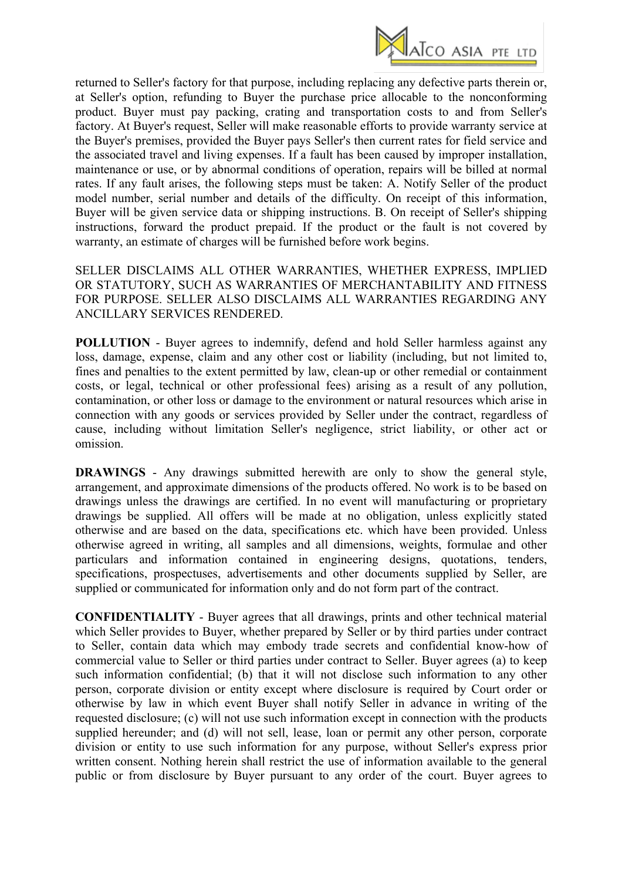

returned to Seller's factory for that purpose, including replacing any defective parts therein or, at Seller's option, refunding to Buyer the purchase price allocable to the nonconforming product. Buyer must pay packing, crating and transportation costs to and from Seller's factory. At Buyer's request, Seller will make reasonable efforts to provide warranty service at the Buyer's premises, provided the Buyer pays Seller's then current rates for field service and the associated travel and living expenses. If a fault has been caused by improper installation, maintenance or use, or by abnormal conditions of operation, repairs will be billed at normal rates. If any fault arises, the following steps must be taken: A. Notify Seller of the product model number, serial number and details of the difficulty. On receipt of this information, Buyer will be given service data or shipping instructions. B. On receipt of Seller's shipping instructions, forward the product prepaid. If the product or the fault is not covered by warranty, an estimate of charges will be furnished before work begins.

SELLER DISCLAIMS ALL OTHER WARRANTIES, WHETHER EXPRESS, IMPLIED OR STATUTORY, SUCH AS WARRANTIES OF MERCHANTABILITY AND FITNESS FOR PURPOSE. SELLER ALSO DISCLAIMS ALL WARRANTIES REGARDING ANY ANCILLARY SERVICES RENDERED.

**POLLUTION** - Buyer agrees to indemnify, defend and hold Seller harmless against any loss, damage, expense, claim and any other cost or liability (including, but not limited to, fines and penalties to the extent permitted by law, clean-up or other remedial or containment costs, or legal, technical or other professional fees) arising as a result of any pollution, contamination, or other loss or damage to the environment or natural resources which arise in connection with any goods or services provided by Seller under the contract, regardless of cause, including without limitation Seller's negligence, strict liability, or other act or omission.

**DRAWINGS** - Any drawings submitted herewith are only to show the general style, arrangement, and approximate dimensions of the products offered. No work is to be based on drawings unless the drawings are certified. In no event will manufacturing or proprietary drawings be supplied. All offers will be made at no obligation, unless explicitly stated otherwise and are based on the data, specifications etc. which have been provided. Unless otherwise agreed in writing, all samples and all dimensions, weights, formulae and other particulars and information contained in engineering designs, quotations, tenders, specifications, prospectuses, advertisements and other documents supplied by Seller, are supplied or communicated for information only and do not form part of the contract.

**CONFIDENTIALITY** - Buyer agrees that all drawings, prints and other technical material which Seller provides to Buyer, whether prepared by Seller or by third parties under contract to Seller, contain data which may embody trade secrets and confidential know-how of commercial value to Seller or third parties under contract to Seller. Buyer agrees (a) to keep such information confidential; (b) that it will not disclose such information to any other person, corporate division or entity except where disclosure is required by Court order or otherwise by law in which event Buyer shall notify Seller in advance in writing of the requested disclosure; (c) will not use such information except in connection with the products supplied hereunder; and (d) will not sell, lease, loan or permit any other person, corporate division or entity to use such information for any purpose, without Seller's express prior written consent. Nothing herein shall restrict the use of information available to the general public or from disclosure by Buyer pursuant to any order of the court. Buyer agrees to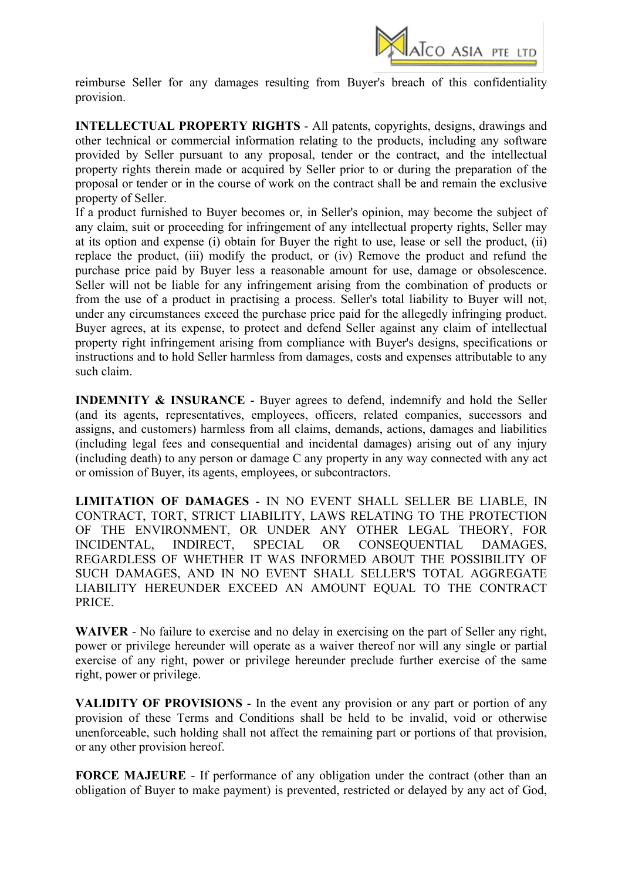

reimburse Seller for any damages resulting from Buyer's breach of this confidentiality provision.

**INTELLECTUAL PROPERTY RIGHTS** - All patents, copyrights, designs, drawings and other technical or commercial information relating to the products, including any software provided by Seller pursuant to any proposal, tender or the contract, and the intellectual property rights therein made or acquired by Seller prior to or during the preparation of the proposal or tender or in the course of work on the contract shall be and remain the exclusive property of Seller.

If a product furnished to Buyer becomes or, in Seller's opinion, may become the subject of any claim, suit or proceeding for infringement of any intellectual property rights, Seller may at its option and expense (i) obtain for Buyer the right to use, lease or sell the product, (ii) replace the product, (iii) modify the product, or (iv) Remove the product and refund the purchase price paid by Buyer less a reasonable amount for use, damage or obsolescence. Seller will not be liable for any infringement arising from the combination of products or from the use of a product in practising a process. Seller's total liability to Buyer will not, under any circumstances exceed the purchase price paid for the allegedly infringing product. Buyer agrees, at its expense, to protect and defend Seller against any claim of intellectual property right infringement arising from compliance with Buyer's designs, specifications or instructions and to hold Seller harmless from damages, costs and expenses attributable to any such claim.

**INDEMNITY & INSURANCE** - Buyer agrees to defend, indemnify and hold the Seller (and its agents, representatives, employees, officers, related companies, successors and assigns, and customers) harmless from all claims, demands, actions, damages and liabilities (including legal fees and consequential and incidental damages) arising out of any injury (including death) to any person or damage C any property in any way connected with any act or omission of Buyer, its agents, employees, or subcontractors.

**LIMITATION OF DAMAGES** - IN NO EVENT SHALL SELLER BE LIABLE, IN CONTRACT, TORT, STRICT LIABILITY, LAWS RELATING TO THE PROTECTION OF THE ENVIRONMENT, OR UNDER ANY OTHER LEGAL THEORY, FOR INCIDENTAL, INDIRECT, SPECIAL OR CONSEQUENTIAL DAMAGES, REGARDLESS OF WHETHER IT WAS INFORMED ABOUT THE POSSIBILITY OF SUCH DAMAGES, AND IN NO EVENT SHALL SELLER'S TOTAL AGGREGATE LIABILITY HEREUNDER EXCEED AN AMOUNT EQUAL TO THE CONTRACT PRICE.

**WAIVER** - No failure to exercise and no delay in exercising on the part of Seller any right, power or privilege hereunder will operate as a waiver thereof nor will any single or partial exercise of any right, power or privilege hereunder preclude further exercise of the same right, power or privilege.

**VALIDITY OF PROVISIONS** - In the event any provision or any part or portion of any provision of these Terms and Conditions shall be held to be invalid, void or otherwise unenforceable, such holding shall not affect the remaining part or portions of that provision, or any other provision hereof.

**FORCE MAJEURE** - If performance of any obligation under the contract (other than an obligation of Buyer to make payment) is prevented, restricted or delayed by any act of God,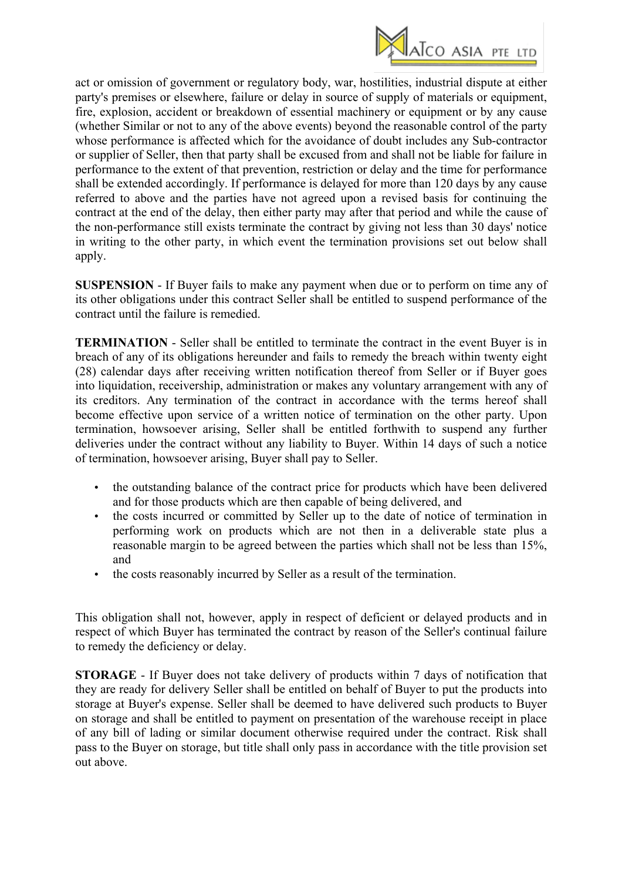

act or omission of government or regulatory body, war, hostilities, industrial dispute at either party's premises or elsewhere, failure or delay in source of supply of materials or equipment, fire, explosion, accident or breakdown of essential machinery or equipment or by any cause (whether Similar or not to any of the above events) beyond the reasonable control of the party whose performance is affected which for the avoidance of doubt includes any Sub-contractor or supplier of Seller, then that party shall be excused from and shall not be liable for failure in performance to the extent of that prevention, restriction or delay and the time for performance shall be extended accordingly. If performance is delayed for more than 120 days by any cause referred to above and the parties have not agreed upon a revised basis for continuing the contract at the end of the delay, then either party may after that period and while the cause of the non-performance still exists terminate the contract by giving not less than 30 days' notice in writing to the other party, in which event the termination provisions set out below shall apply.

**SUSPENSION** - If Buyer fails to make any payment when due or to perform on time any of its other obligations under this contract Seller shall be entitled to suspend performance of the contract until the failure is remedied.

**TERMINATION** - Seller shall be entitled to terminate the contract in the event Buyer is in breach of any of its obligations hereunder and fails to remedy the breach within twenty eight (28) calendar days after receiving written notification thereof from Seller or if Buyer goes into liquidation, receivership, administration or makes any voluntary arrangement with any of its creditors. Any termination of the contract in accordance with the terms hereof shall become effective upon service of a written notice of termination on the other party. Upon termination, howsoever arising, Seller shall be entitled forthwith to suspend any further deliveries under the contract without any liability to Buyer. Within 14 days of such a notice of termination, howsoever arising, Buyer shall pay to Seller.

- the outstanding balance of the contract price for products which have been delivered and for those products which are then capable of being delivered, and
- the costs incurred or committed by Seller up to the date of notice of termination in performing work on products which are not then in a deliverable state plus a reasonable margin to be agreed between the parties which shall not be less than 15%, and
- the costs reasonably incurred by Seller as a result of the termination.

This obligation shall not, however, apply in respect of deficient or delayed products and in respect of which Buyer has terminated the contract by reason of the Seller's continual failure to remedy the deficiency or delay.

**STORAGE** - If Buyer does not take delivery of products within 7 days of notification that they are ready for delivery Seller shall be entitled on behalf of Buyer to put the products into storage at Buyer's expense. Seller shall be deemed to have delivered such products to Buyer on storage and shall be entitled to payment on presentation of the warehouse receipt in place of any bill of lading or similar document otherwise required under the contract. Risk shall pass to the Buyer on storage, but title shall only pass in accordance with the title provision set out above.